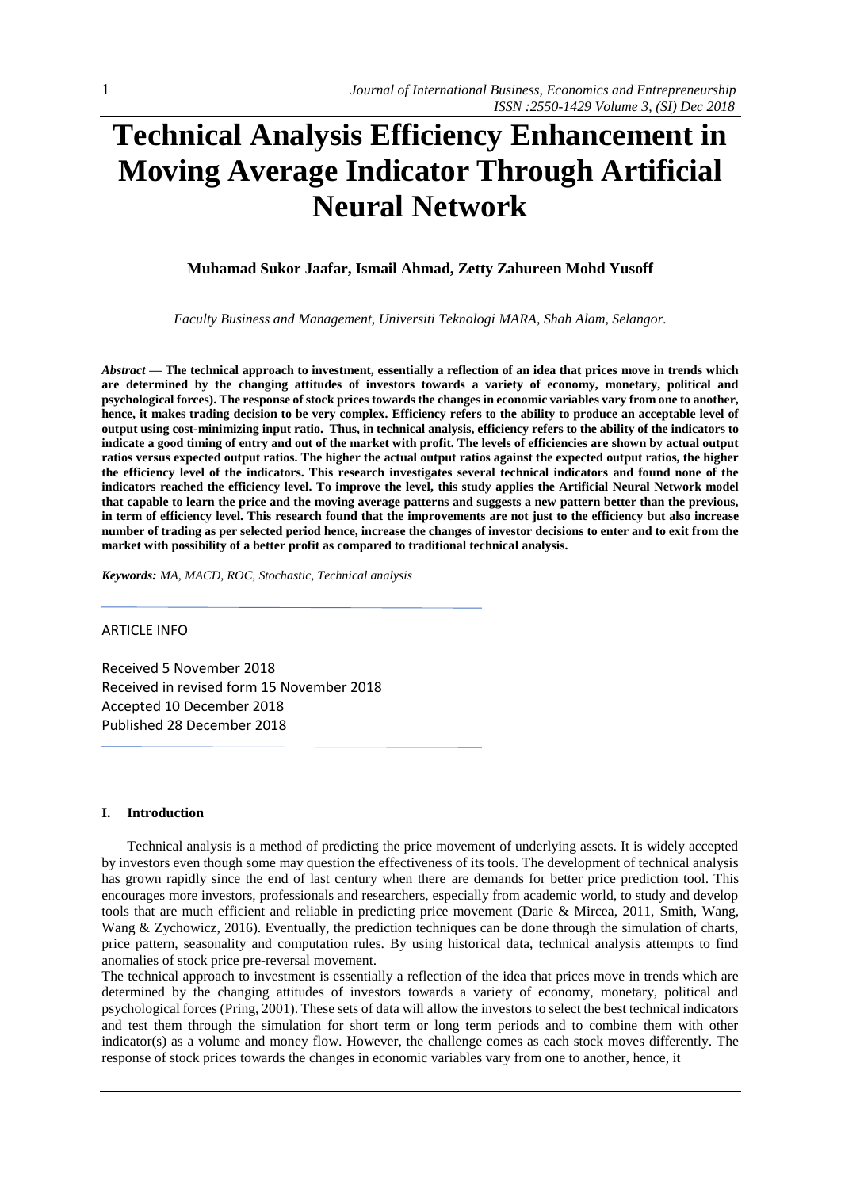# **Technical Analysis Efficiency Enhancement in Moving Average Indicator Through Artificial Neural Network**

# **Muhamad Sukor Jaafar, Ismail Ahmad, Zetty Zahureen Mohd Yusoff**

*Faculty Business and Management, Universiti Teknologi MARA, Shah Alam, Selangor.*

*Abstract —* **The technical approach to investment, essentially a reflection of an idea that prices move in trends which are determined by the changing attitudes of investors towards a variety of economy, monetary, political and psychological forces). The response of stock prices towards the changes in economic variables vary from one to another, hence, it makes trading decision to be very complex. Efficiency refers to the ability to produce an acceptable level of output using cost-minimizing input ratio. Thus, in technical analysis, efficiency refers to the ability of the indicators to indicate a good timing of entry and out of the market with profit. The levels of efficiencies are shown by actual output ratios versus expected output ratios. The higher the actual output ratios against the expected output ratios, the higher the efficiency level of the indicators. This research investigates several technical indicators and found none of the indicators reached the efficiency level. To improve the level, this study applies the Artificial Neural Network model that capable to learn the price and the moving average patterns and suggests a new pattern better than the previous, in term of efficiency level. This research found that the improvements are not just to the efficiency but also increase number of trading as per selected period hence, increase the changes of investor decisions to enter and to exit from the market with possibility of a better profit as compared to traditional technical analysis.**

*Keywords: MA, MACD, ROC, Stochastic, Technical analysis*

## ARTICLE INFO

Received 5 November 2018 Received in revised form 15 November 2018 Accepted 10 December 2018 Published 28 December 2018

#### **I. Introduction**

Technical analysis is a method of predicting the price movement of underlying assets. It is widely accepted by investors even though some may question the effectiveness of its tools. The development of technical analysis has grown rapidly since the end of last century when there are demands for better price prediction tool. This encourages more investors, professionals and researchers, especially from academic world, to study and develop tools that are much efficient and reliable in predicting price movement (Darie & Mircea, 2011, Smith, Wang, Wang & Zychowicz, 2016). Eventually, the prediction techniques can be done through the simulation of charts, price pattern, seasonality and computation rules. By using historical data, technical analysis attempts to find anomalies of stock price pre-reversal movement.

The technical approach to investment is essentially a reflection of the idea that prices move in trends which are determined by the changing attitudes of investors towards a variety of economy, monetary, political and psychological forces (Pring, 2001). These sets of data will allow the investors to select the best technical indicators and test them through the simulation for short term or long term periods and to combine them with other indicator(s) as a volume and money flow. However, the challenge comes as each stock moves differently. The response of stock prices towards the changes in economic variables vary from one to another, hence, it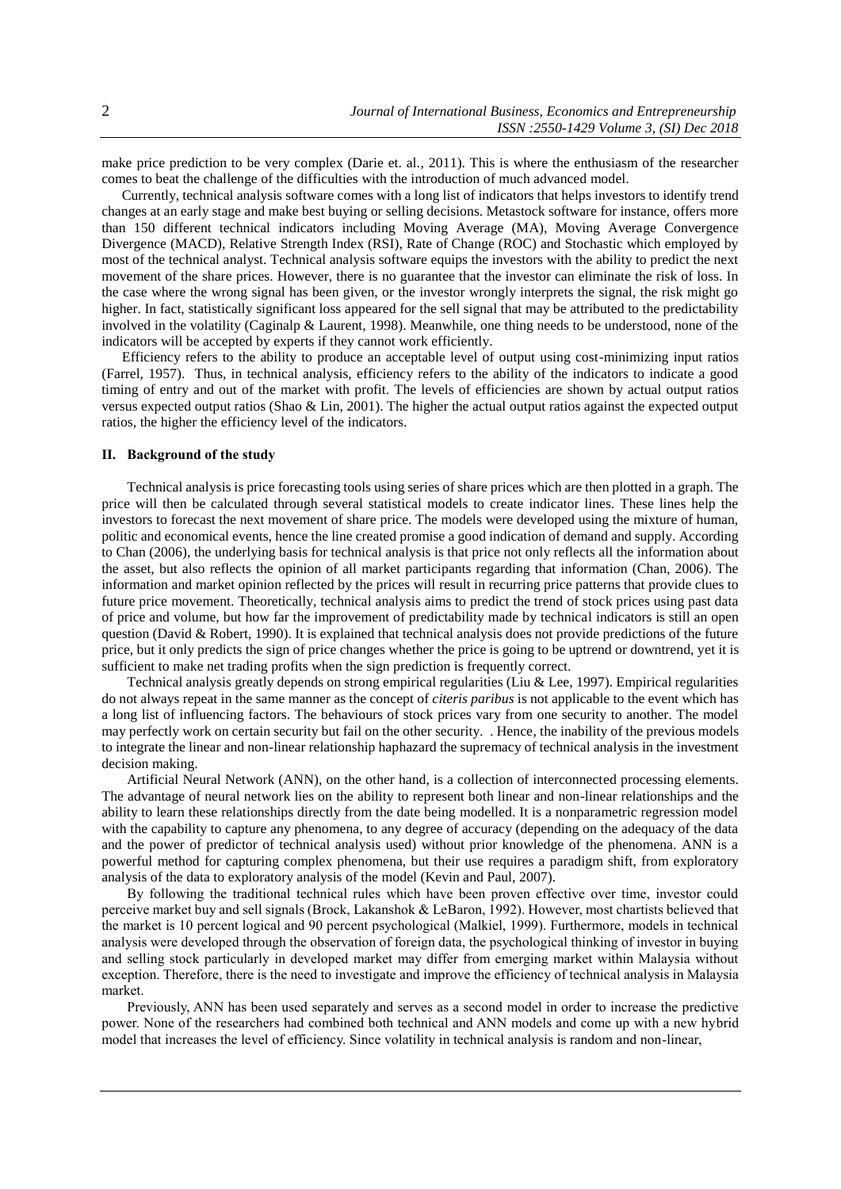make price prediction to be very complex (Darie et. al*.,* 2011). This is where the enthusiasm of the researcher comes to beat the challenge of the difficulties with the introduction of much advanced model.

Currently, technical analysis software comes with a long list of indicators that helps investors to identify trend changes at an early stage and make best buying or selling decisions. Metastock software for instance, offers more than 150 different technical indicators including Moving Average (MA), Moving Average Convergence Divergence (MACD), Relative Strength Index (RSI), Rate of Change (ROC) and Stochastic which employed by most of the technical analyst. Technical analysis software equips the investors with the ability to predict the next movement of the share prices. However, there is no guarantee that the investor can eliminate the risk of loss. In the case where the wrong signal has been given, or the investor wrongly interprets the signal, the risk might go higher. In fact, statistically significant loss appeared for the sell signal that may be attributed to the predictability involved in the volatility (Caginalp & Laurent, 1998). Meanwhile, one thing needs to be understood, none of the indicators will be accepted by experts if they cannot work efficiently.

Efficiency refers to the ability to produce an acceptable level of output using cost-minimizing input ratios (Farrel, 1957). Thus, in technical analysis, efficiency refers to the ability of the indicators to indicate a good timing of entry and out of the market with profit. The levels of efficiencies are shown by actual output ratios versus expected output ratios (Shao & Lin, 2001). The higher the actual output ratios against the expected output ratios, the higher the efficiency level of the indicators.

# **II. Background of the study**

Technical analysis is price forecasting tools using series of share prices which are then plotted in a graph. The price will then be calculated through several statistical models to create indicator lines. These lines help the investors to forecast the next movement of share price. The models were developed using the mixture of human, politic and economical events, hence the line created promise a good indication of demand and supply. According to Chan (2006), the underlying basis for technical analysis is that price not only reflects all the information about the asset, but also reflects the opinion of all market participants regarding that information (Chan, 2006). The information and market opinion reflected by the prices will result in recurring price patterns that provide clues to future price movement. Theoretically, technical analysis aims to predict the trend of stock prices using past data of price and volume, but how far the improvement of predictability made by technical indicators is still an open question (David & Robert, 1990). It is explained that technical analysis does not provide predictions of the future price, but it only predicts the sign of price changes whether the price is going to be uptrend or downtrend, yet it is sufficient to make net trading profits when the sign prediction is frequently correct.

Technical analysis greatly depends on strong empirical regularities (Liu & Lee, 1997). Empirical regularities do not always repeat in the same manner as the concept of *citeris paribus* is not applicable to the event which has a long list of influencing factors. The behaviours of stock prices vary from one security to another. The model may perfectly work on certain security but fail on the other security. . Hence, the inability of the previous models to integrate the linear and non-linear relationship haphazard the supremacy of technical analysis in the investment decision making.

Artificial Neural Network (ANN), on the other hand, is a collection of interconnected processing elements. The advantage of neural network lies on the ability to represent both linear and non-linear relationships and the ability to learn these relationships directly from the date being modelled. It is a nonparametric regression model with the capability to capture any phenomena, to any degree of accuracy (depending on the adequacy of the data and the power of predictor of technical analysis used) without prior knowledge of the phenomena. ANN is a powerful method for capturing complex phenomena, but their use requires a paradigm shift, from exploratory analysis of the data to exploratory analysis of the model (Kevin and Paul, 2007).

By following the traditional technical rules which have been proven effective over time, investor could perceive market buy and sell signals (Brock, Lakanshok & LeBaron, 1992). However, most chartists believed that the market is 10 percent logical and 90 percent psychological (Malkiel, 1999). Furthermore, models in technical analysis were developed through the observation of foreign data, the psychological thinking of investor in buying and selling stock particularly in developed market may differ from emerging market within Malaysia without exception. Therefore, there is the need to investigate and improve the efficiency of technical analysis in Malaysia market.

Previously, ANN has been used separately and serves as a second model in order to increase the predictive power. None of the researchers had combined both technical and ANN models and come up with a new hybrid model that increases the level of efficiency. Since volatility in technical analysis is random and non-linear,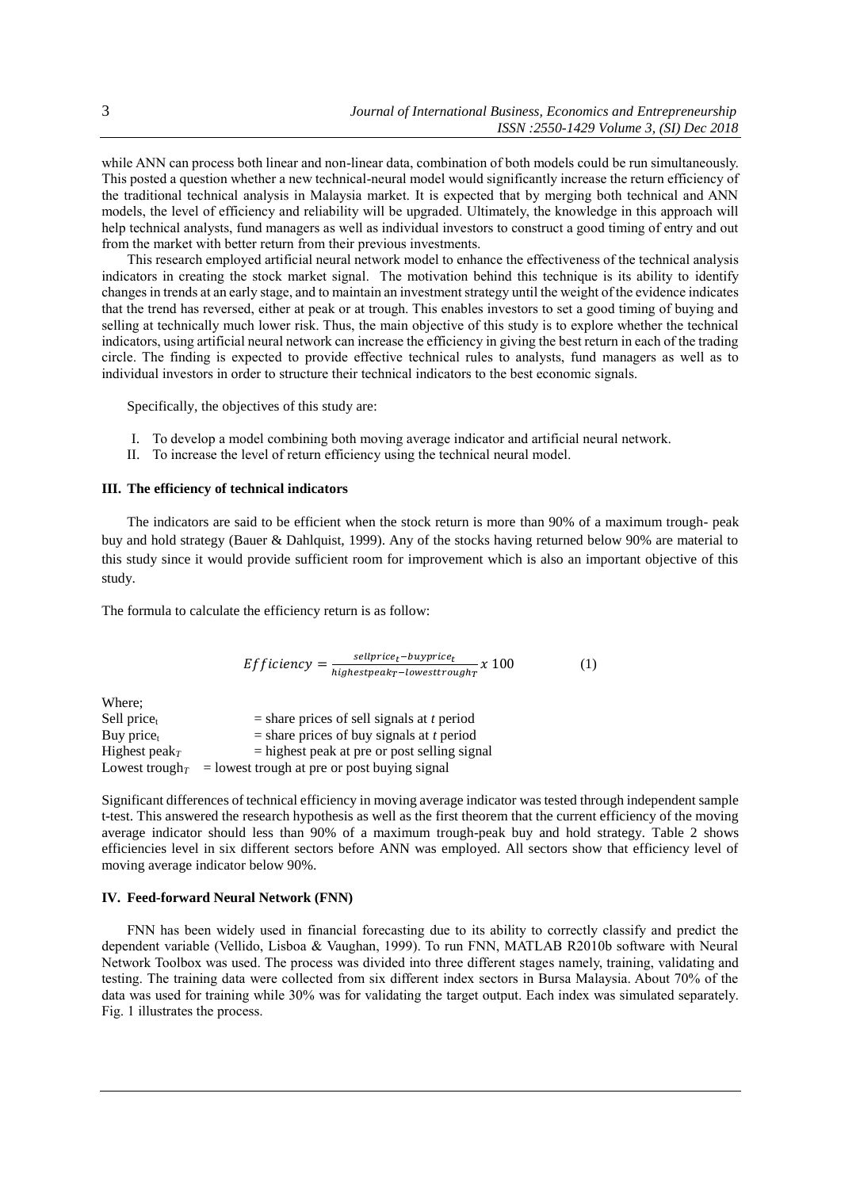while ANN can process both linear and non-linear data, combination of both models could be run simultaneously. This posted a question whether a new technical-neural model would significantly increase the return efficiency of the traditional technical analysis in Malaysia market. It is expected that by merging both technical and ANN models, the level of efficiency and reliability will be upgraded. Ultimately, the knowledge in this approach will help technical analysts, fund managers as well as individual investors to construct a good timing of entry and out from the market with better return from their previous investments.

This research employed artificial neural network model to enhance the effectiveness of the technical analysis indicators in creating the stock market signal. The motivation behind this technique is its ability to identify changes in trends at an early stage, and to maintain an investment strategy until the weight of the evidence indicates that the trend has reversed, either at peak or at trough. This enables investors to set a good timing of buying and selling at technically much lower risk. Thus, the main objective of this study is to explore whether the technical indicators, using artificial neural network can increase the efficiency in giving the best return in each of the trading circle. The finding is expected to provide effective technical rules to analysts, fund managers as well as to individual investors in order to structure their technical indicators to the best economic signals.

Specifically, the objectives of this study are:

- I. To develop a model combining both moving average indicator and artificial neural network.
- II. To increase the level of return efficiency using the technical neural model.

## **III. The efficiency of technical indicators**

The indicators are said to be efficient when the stock return is more than 90% of a maximum trough- peak buy and hold strategy (Bauer & Dahlquist, 1999). Any of the stocks having returned below 90% are material to this study since it would provide sufficient room for improvement which is also an important objective of this study.

The formula to calculate the efficiency return is as follow:

$$
Efficiency = \frac{sellprice_t - buyprice_t}{highestpeak_T - lowesttrough_T} \times 100
$$
 (1)

Where;<br>Sell pricet  $=$  share prices of sell signals at *t* period Buy price<sub>t</sub>  $=$  share prices of buy signals at *t* period Highest peak<sub>*T*</sub>  $=$  highest peak at pre or post selling signal Lowest trough<sub>*T*</sub> = lowest trough at pre or post buying signal

Significant differences of technical efficiency in moving average indicator was tested through independent sample t-test. This answered the research hypothesis as well as the first theorem that the current efficiency of the moving average indicator should less than 90% of a maximum trough-peak buy and hold strategy. Table 2 shows efficiencies level in six different sectors before ANN was employed. All sectors show that efficiency level of moving average indicator below 90%.

#### **IV. Feed-forward Neural Network (FNN)**

FNN has been widely used in financial forecasting due to its ability to correctly classify and predict the dependent variable (Vellido, Lisboa & Vaughan, 1999). To run FNN, MATLAB R2010b software with Neural Network Toolbox was used. The process was divided into three different stages namely, training, validating and testing. The training data were collected from six different index sectors in Bursa Malaysia. About 70% of the data was used for training while 30% was for validating the target output. Each index was simulated separately. Fig. 1 illustrates the process.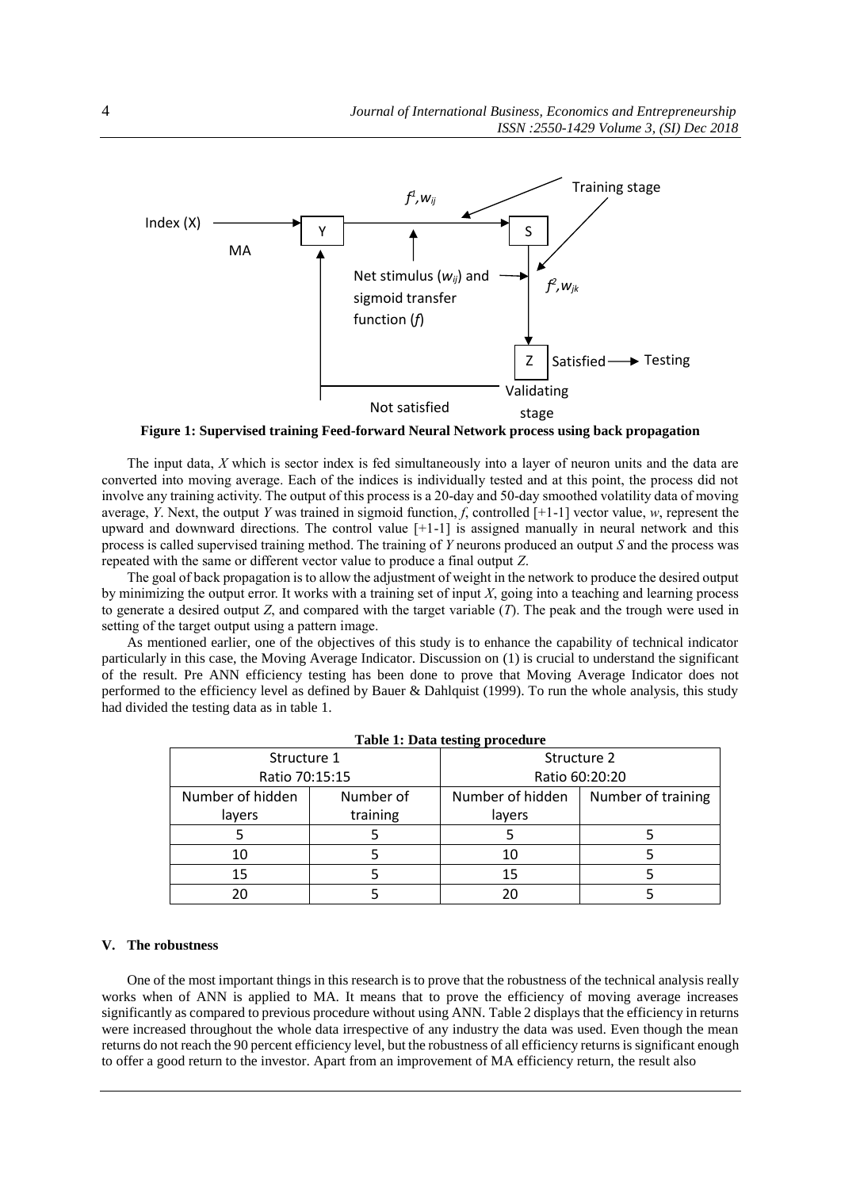

**Figure 1: Supervised training Feed-forward Neural Network process using back propagation**

The input data, *X* which is sector index is fed simultaneously into a layer of neuron units and the data are converted into moving average. Each of the indices is individually tested and at this point, the process did not involve any training activity. The output of this process is a 20-day and 50-day smoothed volatility data of moving average, *Y*. Next, the output *Y* was trained in sigmoid function, *f*, controlled [+1-1] vector value, *w*, represent the upward and downward directions. The control value [+1-1] is assigned manually in neural network and this process is called supervised training method. The training of *Y* neurons produced an output *S* and the process was repeated with the same or different vector value to produce a final output *Z*.

The goal of back propagation is to allow the adjustment of weight in the network to produce the desired output by minimizing the output error. It works with a training set of input *X*, going into a teaching and learning process to generate a desired output *Z*, and compared with the target variable (*T*). The peak and the trough were used in setting of the target output using a pattern image.

As mentioned earlier, one of the objectives of this study is to enhance the capability of technical indicator particularly in this case, the Moving Average Indicator. Discussion on (1) is crucial to understand the significant of the result. Pre ANN efficiency testing has been done to prove that Moving Average Indicator does not performed to the efficiency level as defined by Bauer & Dahlquist (1999). To run the whole analysis, this study had divided the testing data as in table 1.

| Structure 1      |           | --<br>Structure 2 |                    |  |
|------------------|-----------|-------------------|--------------------|--|
| Ratio 70:15:15   |           | Ratio 60:20:20    |                    |  |
| Number of hidden | Number of | Number of hidden  | Number of training |  |
| layers           | training  | layers            |                    |  |
|                  |           |                   |                    |  |
| 10               |           | 10                |                    |  |
| 15               |           | 15                |                    |  |
| 20               |           | 20                |                    |  |

**Table 1: Data testing procedure**

#### **V. The robustness**

One of the most important things in this research is to prove that the robustness of the technical analysis really works when of ANN is applied to MA. It means that to prove the efficiency of moving average increases significantly as compared to previous procedure without using ANN. Table 2 displays that the efficiency in returns were increased throughout the whole data irrespective of any industry the data was used. Even though the mean returns do not reach the 90 percent efficiency level, but the robustness of all efficiency returns is significant enough to offer a good return to the investor. Apart from an improvement of MA efficiency return, the result also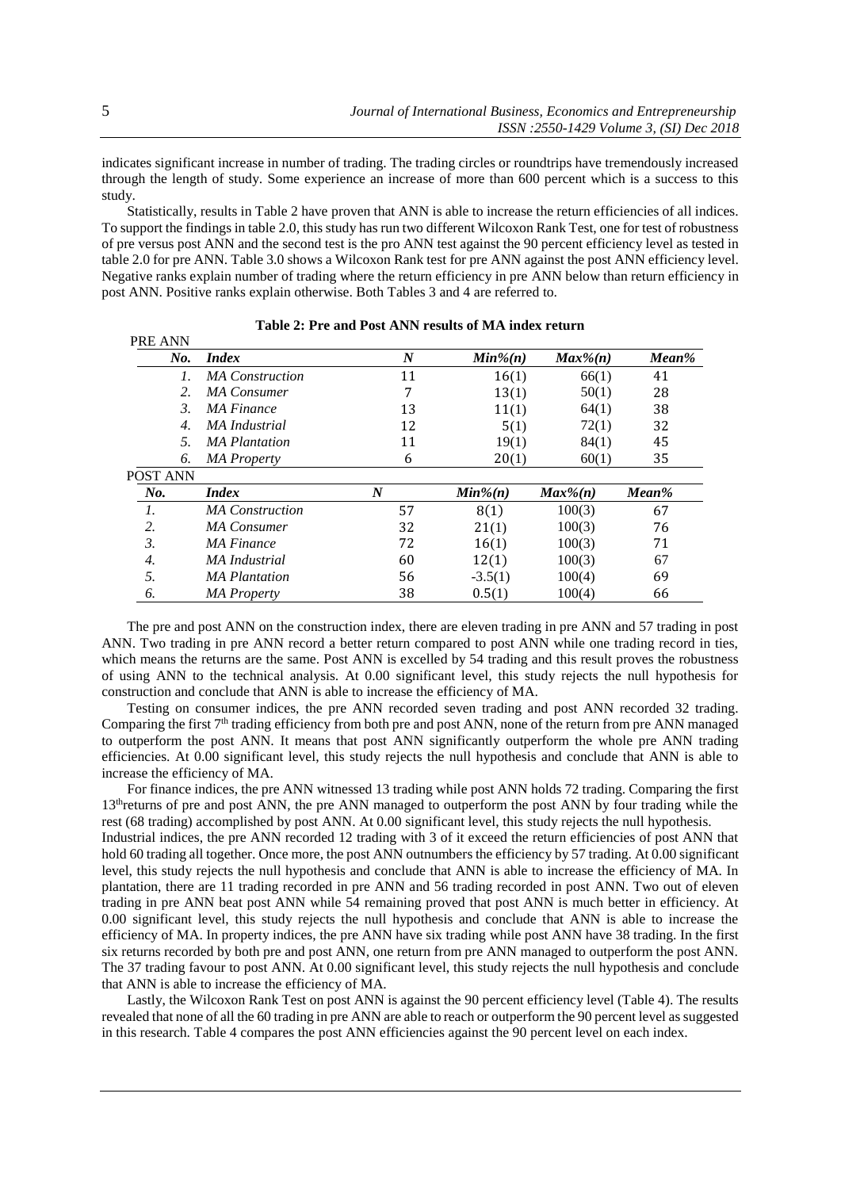indicates significant increase in number of trading. The trading circles or roundtrips have tremendously increased through the length of study. Some experience an increase of more than 600 percent which is a success to this study.

Statistically, results in Table 2 have proven that ANN is able to increase the return efficiencies of all indices. To support the findings in table 2.0, this study has run two different Wilcoxon Rank Test, one for test of robustness of pre versus post ANN and the second test is the pro ANN test against the 90 percent efficiency level as tested in table 2.0 for pre ANN. Table 3.0 shows a Wilcoxon Rank test for pre ANN against the post ANN efficiency level. Negative ranks explain number of trading where the return efficiency in pre ANN below than return efficiency in post ANN. Positive ranks explain otherwise. Both Tables 3 and 4 are referred to.

| No.              | <i>Index</i>           | $\boldsymbol{N}$ | $Min\%(n)$ | $Max\%(n)$  | $Mean\%$ |
|------------------|------------------------|------------------|------------|-------------|----------|
| 1.               | <b>MA</b> Construction | 11               | 16(1)      | 66(1)       | 41       |
| 2.               | <b>MA</b> Consumer     | 7                | 13(1)      | 50(1)       | 28       |
| $\mathfrak{Z}$   | MA Finance             | 13               | 11(1)      | 64(1)       | 38       |
| 4.               | <b>MA</b> Industrial   | 12               | 5(1)       | 72(1)       | 32       |
| .5.              | <b>MA</b> Plantation   | 11               | 19(1)      | 84(1)       | 45       |
| 6.               | <b>MA</b> Property     | 6                | 20(1)      | 60(1)       | 35       |
| POST ANN         |                        |                  |            |             |          |
| $N_{0}$ .        | <i>Index</i>           | $\boldsymbol{N}$ | $Min\%(n)$ | $Max\%$ (n) | Mean%    |
| 1.               | <b>MA</b> Construction | 57               | 8(1)       | 100(3)      | 67       |
| 2.               | MA Consumer            | 32               | 21(1)      | 100(3)      | 76       |
| 3.               | <b>MA</b> Finance      | 72               | 16(1)      | 100(3)      | 71       |
| $\overline{4}$ . | MA Industrial          | 60               | 12(1)      | 100(3)      | 67       |
| 5.               | <b>MA</b> Plantation   | 56               | $-3.5(1)$  | 100(4)      | 69       |
| 6.               | <b>MA</b> Property     | 38               | 0.5(1)     | 100(4)      | 66       |

**Table 2: Pre and Post ANN results of MA index return**

The pre and post ANN on the construction index, there are eleven trading in pre ANN and 57 trading in post ANN. Two trading in pre ANN record a better return compared to post ANN while one trading record in ties, which means the returns are the same. Post ANN is excelled by 54 trading and this result proves the robustness of using ANN to the technical analysis. At 0.00 significant level, this study rejects the null hypothesis for construction and conclude that ANN is able to increase the efficiency of MA.

Testing on consumer indices, the pre ANN recorded seven trading and post ANN recorded 32 trading. Comparing the first  $7<sup>th</sup>$  trading efficiency from both pre and post ANN, none of the return from pre ANN managed to outperform the post ANN. It means that post ANN significantly outperform the whole pre ANN trading efficiencies. At 0.00 significant level, this study rejects the null hypothesis and conclude that ANN is able to increase the efficiency of MA.

For finance indices, the pre ANN witnessed 13 trading while post ANN holds 72 trading. Comparing the first 13<sup>th</sup>returns of pre and post ANN, the pre ANN managed to outperform the post ANN by four trading while the rest (68 trading) accomplished by post ANN. At 0.00 significant level, this study rejects the null hypothesis. Industrial indices, the pre ANN recorded 12 trading with 3 of it exceed the return efficiencies of post ANN that hold 60 trading all together. Once more, the post ANN outnumbers the efficiency by 57 trading. At 0.00 significant level, this study rejects the null hypothesis and conclude that ANN is able to increase the efficiency of MA. In plantation, there are 11 trading recorded in pre ANN and 56 trading recorded in post ANN. Two out of eleven trading in pre ANN beat post ANN while 54 remaining proved that post ANN is much better in efficiency. At 0.00 significant level, this study rejects the null hypothesis and conclude that ANN is able to increase the efficiency of MA. In property indices, the pre ANN have six trading while post ANN have 38 trading. In the first six returns recorded by both pre and post ANN, one return from pre ANN managed to outperform the post ANN. The 37 trading favour to post ANN. At 0.00 significant level, this study rejects the null hypothesis and conclude that ANN is able to increase the efficiency of MA.

Lastly, the Wilcoxon Rank Test on post ANN is against the 90 percent efficiency level (Table 4). The results revealed that none of all the 60 trading in pre ANN are able to reach or outperform the 90 percent level as suggested in this research. Table 4 compares the post ANN efficiencies against the 90 percent level on each index.

PRE ANN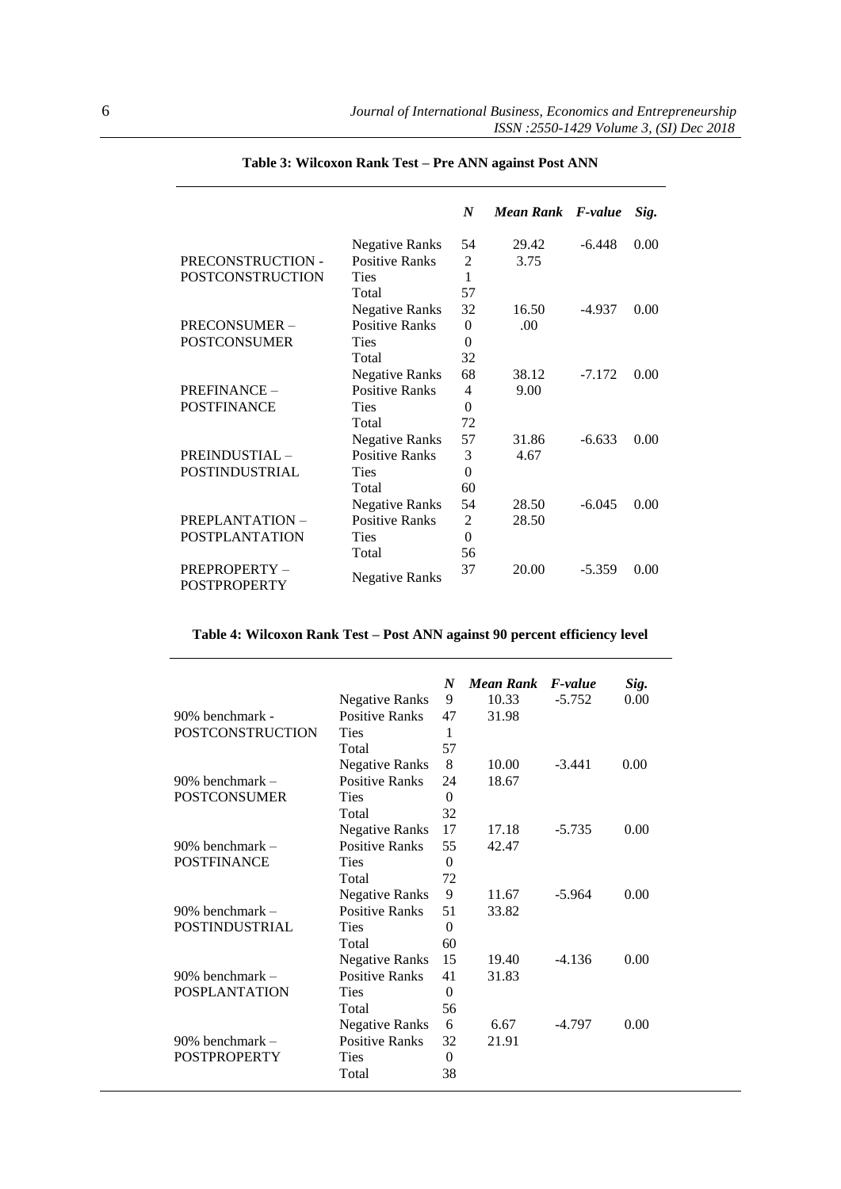|                                     |                       | $\boldsymbol{N}$ | Mean Rank F-value |          | Sig. |
|-------------------------------------|-----------------------|------------------|-------------------|----------|------|
|                                     | <b>Negative Ranks</b> | 54               | 29.42             | $-6.448$ | 0.00 |
| PRECONSTRUCTION -                   | <b>Positive Ranks</b> | 2                | 3.75              |          |      |
| POSTCONSTRUCTION                    | <b>Ties</b>           | 1                |                   |          |      |
|                                     | Total                 | 57               |                   |          |      |
|                                     | <b>Negative Ranks</b> | 32               | 16.50             | $-4.937$ | 0.00 |
| PRECONSUMER-                        | <b>Positive Ranks</b> | $\Omega$         | .00.              |          |      |
| <b>POSTCONSUMER</b>                 | <b>Ties</b>           | $\Omega$         |                   |          |      |
|                                     | Total                 | 32               |                   |          |      |
|                                     | <b>Negative Ranks</b> | 68               | 38.12             | $-7.172$ | 0.00 |
| PREFINANCE-                         | <b>Positive Ranks</b> | 4                | 9.00              |          |      |
| <b>POSTFINANCE</b>                  | <b>Ties</b>           | $\theta$         |                   |          |      |
|                                     | Total                 | 72               |                   |          |      |
|                                     | <b>Negative Ranks</b> | 57               | 31.86             | $-6.633$ | 0.00 |
| PREINDUSTIAL-                       | <b>Positive Ranks</b> | 3                | 4.67              |          |      |
| <b>POSTINDUSTRIAL</b>               | <b>Ties</b>           | $\Omega$         |                   |          |      |
|                                     | Total                 | 60               |                   |          |      |
|                                     | <b>Negative Ranks</b> | 54               | 28.50             | $-6.045$ | 0.00 |
| PREPLANTATION -                     | <b>Positive Ranks</b> | 2                | 28.50             |          |      |
| <b>POSTPLANTATION</b>               | <b>Ties</b>           | $\theta$         |                   |          |      |
|                                     | Total                 | 56               |                   |          |      |
| PREPROPERTY-<br><b>POSTPROPERTY</b> | <b>Negative Ranks</b> | 37               | 20.00             | $-5.359$ | 0.00 |

# **Table 3: Wilcoxon Rank Test – Pre ANN against Post ANN**

# **Table 4: Wilcoxon Rank Test – Post ANN against 90 percent efficiency level**

|                         |                       | N        | Mean Rank | <i>F-value</i> | Sig. |
|-------------------------|-----------------------|----------|-----------|----------------|------|
|                         | Negative Ranks        | 9        | 10.33     | $-5.752$       | 0.00 |
| 90% benchmark -         | <b>Positive Ranks</b> | 47       | 31.98     |                |      |
| <b>POSTCONSTRUCTION</b> | Ties                  | 1        |           |                |      |
|                         | Total                 | 57       |           |                |      |
|                         | Negative Ranks        | 8        | 10.00     | $-3.441$       | 0.00 |
| 90% benchmark –         | <b>Positive Ranks</b> | 24       | 18.67     |                |      |
| <b>POSTCONSUMER</b>     | Ties                  | $\theta$ |           |                |      |
|                         | Total                 | 32       |           |                |      |
|                         | <b>Negative Ranks</b> | 17       | 17.18     | $-5.735$       | 0.00 |
| $90\%$ benchmark –      | <b>Positive Ranks</b> | 55       | 42.47     |                |      |
| <b>POSTFINANCE</b>      | <b>Ties</b>           | 0        |           |                |      |
|                         | Total                 | 72       |           |                |      |
|                         | <b>Negative Ranks</b> | 9        | 11.67     | $-5.964$       | 0.00 |
| $90\%$ benchmark –      | <b>Positive Ranks</b> | 51       | 33.82     |                |      |
| <b>POSTINDUSTRIAL</b>   | Ties                  | $\Omega$ |           |                |      |
|                         | Total                 | 60       |           |                |      |
|                         | Negative Ranks        | 15       | 19.40     | $-4.136$       | 0.00 |
| $90\%$ benchmark –      | <b>Positive Ranks</b> | 41       | 31.83     |                |      |
| <b>POSPLANTATION</b>    | Ties                  | $\Omega$ |           |                |      |
|                         | Total                 | 56       |           |                |      |
|                         | <b>Negative Ranks</b> | 6        | 6.67      | $-4.797$       | 0.00 |
| 90% benchmark –         | <b>Positive Ranks</b> | 32       | 21.91     |                |      |
| <b>POSTPROPERTY</b>     | Ties                  | 0        |           |                |      |
|                         | Total                 | 38       |           |                |      |